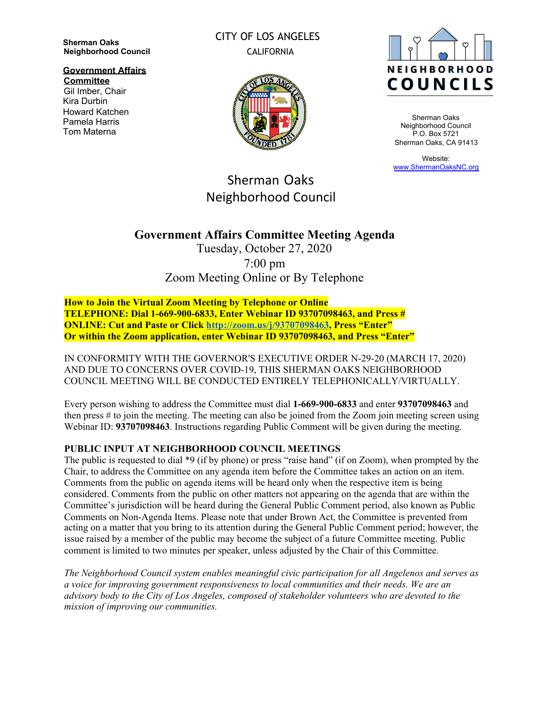**Sherman Oaks Neighborhood Council**

**Government Affairs Committee**

Gil Imber, Chair Kira Durbin Howard Katchen Pamela Harris Tom Materna

CITY OF LOS ANGELES CALIFORNIA



Sherman Oaks Neighborhood Council P.O. Box 5721 Sherman Oaks, CA 91413

Website: [www.ShermanOaksNC.org](http://www.shermanoaksnc.org/)

# Sherman Oaks Neighborhood Council

## **Government Affairs Committee Meeting Agenda**

Tuesday, October 27, 2020 7:00 pm Zoom Meeting Online or By Telephone

**How to Join the Virtual Zoom Meeting by Telephone or Online TELEPHONE: Dial 1-669-900-6833, Enter Webinar ID 93707098463, and Press # ONLINE: Cut and Paste or Click <http://zoom.us/j/93707098463>, Press "Enter" Or within the Zoom application, enter Webinar ID 93707098463, and Press "Enter"**

IN CONFORMITY WITH THE GOVERNOR'S EXECUTIVE ORDER N-29-20 (MARCH 17, 2020) AND DUE TO CONCERNS OVER COVID-19, THIS SHERMAN OAKS NEIGHBORHOOD COUNCIL MEETING WILL BE CONDUCTED ENTIRELY TELEPHONICALLY/VIRTUALLY.

Every person wishing to address the Committee must dial **1-669-900-6833** and enter **93707098463** and then press # to join the meeting. The meeting can also be joined from the Zoom join meeting screen using Webinar ID: **93707098463**. Instructions regarding Public Comment will be given during the meeting.

## **PUBLIC INPUT AT NEIGHBORHOOD COUNCIL MEETINGS**

The public is requested to dial \*9 (if by phone) or press "raise hand" (if on Zoom), when prompted by the Chair, to address the Committee on any agenda item before the Committee takes an action on an item. Comments from the public on agenda items will be heard only when the respective item is being considered. Comments from the public on other matters not appearing on the agenda that are within the Committee's jurisdiction will be heard during the General Public Comment period, also known as Public Comments on Non-Agenda Items. Please note that under Brown Act, the Committee is prevented from acting on a matter that you bring to its attention during the General Public Comment period; however, the issue raised by a member of the public may become the subject of a future Committee meeting. Public comment is limited to two minutes per speaker, unless adjusted by the Chair of this Committee.

*The Neighborhood Council system enables meaningful civic participation for all Angelenos and serves as a voice for improving government responsiveness to local communities and their needs. We are an advisory body to the City of Los Angeles, composed of stakeholder volunteers who are devoted to the mission of improving our communities.*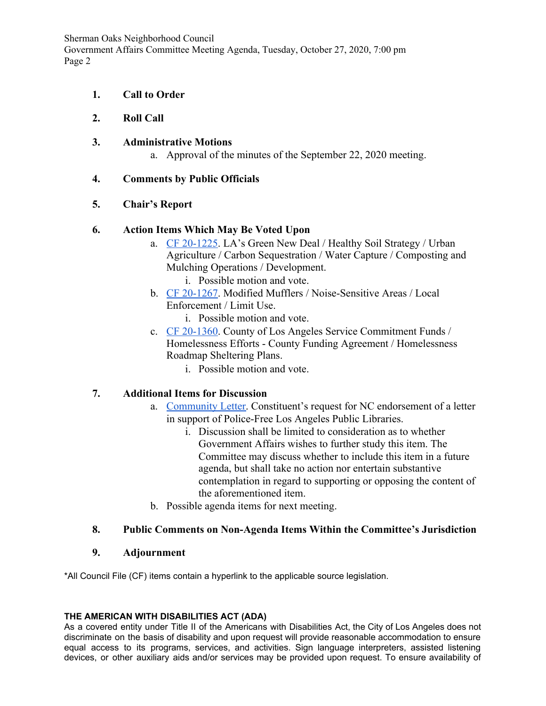Sherman Oaks Neighborhood Council Government Affairs Committee Meeting Agenda, Tuesday, October 27, 2020, 7:00 pm Page 2

- **1. Call to Order**
- **2. Roll Call**
- **3. Administrative Motions**
	- a. Approval of the minutes of the September 22, 2020 meeting.

#### **4. Comments by Public Officials**

#### **5. Chair's Report**

#### **6. Action Items Which May Be Voted Upon**

- a. [CF 20-1225](https://cityclerk.lacity.org/lacityclerkconnect/index.cfm?fa=ccfi.viewrecord&cfnumber=20-1225). LA's Green New Deal / Healthy Soil Strategy / Urban Agriculture / Carbon Sequestration / Water Capture / Composting and Mulching Operations / Development.
	- i. Possible motion and vote.
- b. [CF 20-1267](https://cityclerk.lacity.org/lacityclerkconnect/index.cfm?fa=ccfi.viewrecord&cfnumber=20-1267). Modified Mufflers / Noise-Sensitive Areas / Local Enforcement / Limit Use.
	- i. Possible motion and vote.
- c. [CF 20-1360](https://cityclerk.lacity.org/lacityclerkconnect/index.cfm?fa=ccfi.viewrecord&cfnumber=20-1360). County of Los Angeles Service Commitment Funds / Homelessness Efforts - County Funding Agreement / Homelessness Roadmap Sheltering Plans.
	- i. Possible motion and vote.

## **7. Additional Items for Discussion**

- a. [Community Letter.](https://docs.google.com/document/d/1ghW0b6szuMOCX6ytscuMF5MKLirdYITJTWfrUQPeq8M/edit) Constituent's request for NC endorsement of a letter in support of Police-Free Los Angeles Public Libraries.
	- i. Discussion shall be limited to consideration as to whether Government Affairs wishes to further study this item. The Committee may discuss whether to include this item in a future agenda, but shall take no action nor entertain substantive contemplation in regard to supporting or opposing the content of the aforementioned item.
- b. Possible agenda items for next meeting.

#### **8. Public Comments on Non-Agenda Items Within the Committee's Jurisdiction**

#### **9. Adjournment**

\*All Council File (CF) items contain a hyperlink to the applicable source legislation.

#### **THE AMERICAN WITH DISABILITIES ACT (ADA)**

As a covered entity under Title II of the Americans with Disabilities Act, the City of Los Angeles does not discriminate on the basis of disability and upon request will provide reasonable accommodation to ensure equal access to its programs, services, and activities. Sign language interpreters, assisted listening devices, or other auxiliary aids and/or services may be provided upon request. To ensure availability of